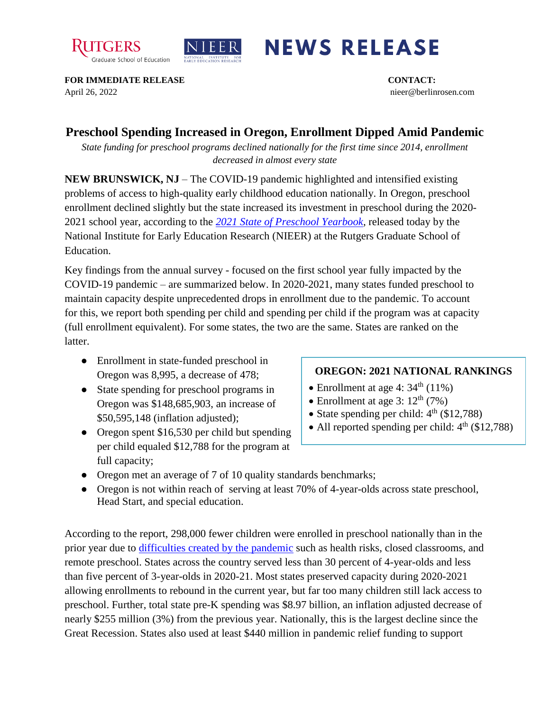



## **NEWS RELEASE**

**FOR IMMEDIATE RELEASE CONTACT:**  April 26, 2022 nieer@berlinrosen.com

## **Preschool Spending Increased in Oregon, Enrollment Dipped Amid Pandemic**

*State funding for preschool programs declined nationally for the first time since 2014, enrollment decreased in almost every state*

**NEW BRUNSWICK, NJ** – The COVID-19 pandemic highlighted and intensified existing problems of access to high-quality early childhood education nationally. In Oregon, preschool enrollment declined slightly but the state increased its investment in preschool during the 2020- 2021 school year, according to the *[2021 State of Preschool Yearbook,](https://nieer.org/state-preschool-yearbooks-yearbook2021)* released today by the National Institute for Early Education Research (NIEER) at the Rutgers Graduate School of Education.

Key findings from the annual survey - focused on the first school year fully impacted by the COVID-19 pandemic – are summarized below. In 2020-2021, many states funded preschool to maintain capacity despite unprecedented drops in enrollment due to the pandemic. To account for this, we report both spending per child and spending per child if the program was at capacity (full enrollment equivalent). For some states, the two are the same. States are ranked on the latter.

- Enrollment in state-funded preschool in Oregon was 8,995, a decrease of 478;
- State spending for preschool programs in Oregon was \$148,685,903, an increase of \$50,595,148 (inflation adjusted);
- Oregon spent \$16,530 per child but spending per child equaled \$12,788 for the program at full capacity;

## **OREGON: 2021 NATIONAL RANKINGS**

- Enrollment at age 4:  $34<sup>th</sup>$  (11%)
- Enrollment at age 3:  $12<sup>th</sup>$  (7%)
- State spending per child:  $4<sup>th</sup>$  (\$12,788)
- All reported spending per child:  $4<sup>th</sup>$  (\$12,788)
- Oregon met an average of 7 of 10 quality standards benchmarks;
- Oregon is not within reach of serving at least 70% of 4-year-olds across state preschool, Head Start, and special education.

According to the report, 298,000 fewer children were enrolled in preschool nationally than in the prior year due to [difficulties created by the pandemic](https://nieer.org/wp-content/uploads/2021/02/NIEER_Seven_Impacts_of_the_Pandemic_on_Young_Children_and_their_Parents.pdf) such as health risks, closed classrooms, and remote preschool. States across the country served less than 30 percent of 4-year-olds and less than five percent of 3-year-olds in 2020-21. Most states preserved capacity during 2020-2021 allowing enrollments to rebound in the current year, but far too many children still lack access to preschool. Further, total state pre-K spending was \$8.97 billion, an inflation adjusted decrease of nearly \$255 million (3%) from the previous year. Nationally, this is the largest decline since the Great Recession. States also used at least \$440 million in pandemic relief funding to support